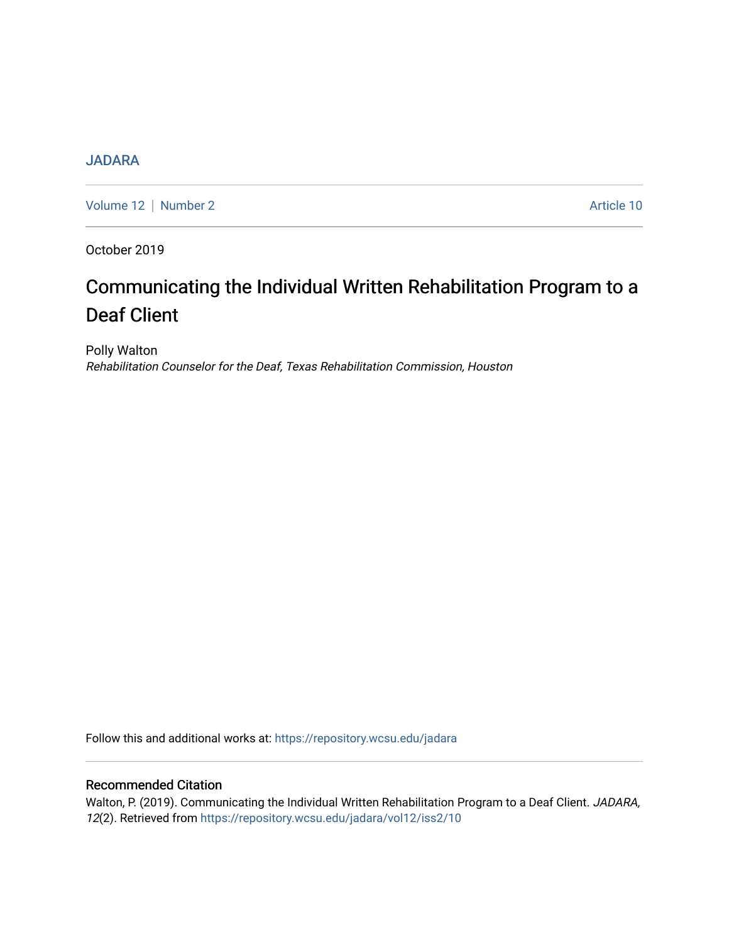# **[JADARA](https://repository.wcsu.edu/jadara)**

[Volume 12](https://repository.wcsu.edu/jadara/vol12) | [Number 2](https://repository.wcsu.edu/jadara/vol12/iss2) Article 10

October 2019

# Communicating the Individual Written Rehabilitation Program to a Deaf Client

Polly Walton Rehabilitation Counselor for the Deaf, Texas Rehabilitation Commission, Houston

Follow this and additional works at: [https://repository.wcsu.edu/jadara](https://repository.wcsu.edu/jadara?utm_source=repository.wcsu.edu%2Fjadara%2Fvol12%2Fiss2%2F10&utm_medium=PDF&utm_campaign=PDFCoverPages)

# Recommended Citation

Walton, P. (2019). Communicating the Individual Written Rehabilitation Program to a Deaf Client. JADARA, 12(2). Retrieved from [https://repository.wcsu.edu/jadara/vol12/iss2/10](https://repository.wcsu.edu/jadara/vol12/iss2/10?utm_source=repository.wcsu.edu%2Fjadara%2Fvol12%2Fiss2%2F10&utm_medium=PDF&utm_campaign=PDFCoverPages)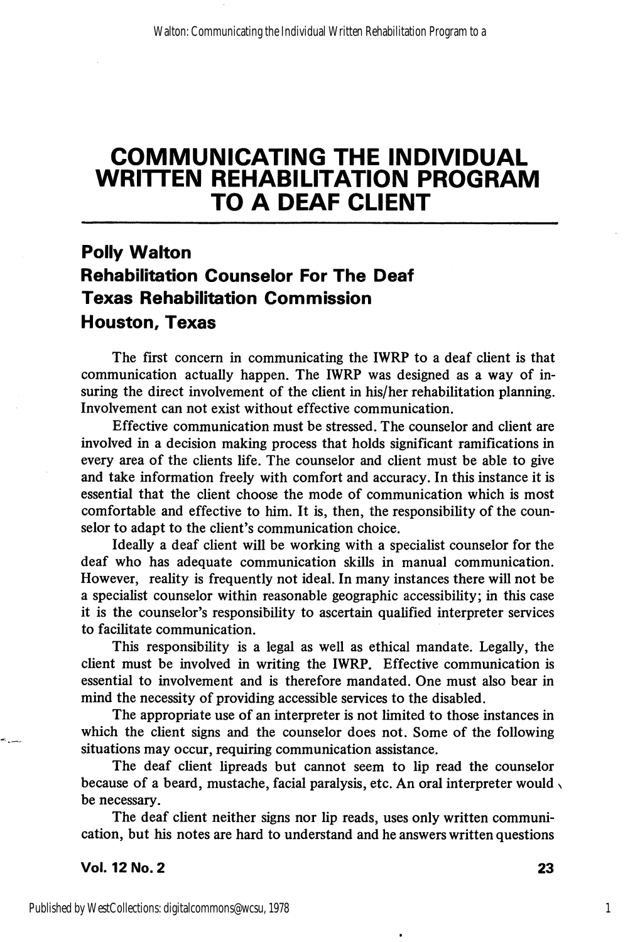# COMMUNICATING THE INDIVIDUAL WRITTEN REHABILITATION PROGRAM TO A DEAF CLIENT

# Polly Walton Rehabilitation Counselor For The Deaf Texas Rehabilitation Commission Houston, Texas

The first concern in communicating the IWRP to a deaf client is that communication actually happen. The IWRP was designed as a way of in suring the direct involvement of the client in his/her rehabilitation planning. Involvement can not exist without effective communication.

Effective communication must be stressed. The counselor and client are involved in a decision making process that holds significant ramifications in every area of the clients life. The counselor and client must be able to give and take information freely with comfort and accuracy. In this instance it is essential that the client choose the mode of communication which is most comfortable and effective to him. It is, then, the responsibility of the coun selor to adapt to the client's communication choice.

Ideally a deaf client will be working with a specialist counselor for the deaf who has adequate communication skills in manual communication. However, reality is frequently not ideal. In many instances there will not be a specialist counselor within reasonable geographic accessibility; in this case it is the counselor's responsibility to ascertain qualified interpreter services to facilitate communication.

This responsibility is a legal as well as ethical mandate. Legally, the client must be involved in writing the IWRP. Effective communication is essential to involvement and is therefore mandated. One must also bear in mind the necessity of providing accessible services to the disabled.

The appropriate use of an interpreter is not limited to those instances in which the client signs and the counselor does not. Some of the following situations may occur, requiring communication assistance.

The deaf client lipreads but cannot seem to lip read the counselor because of a beard, mustache, facial paralysis, etc. An oral interpreter would, be necessary.

The deaf client neither signs nor lip reads, uses only written communication, but his notes are hard to understand and he answers written questions

Vol. 12 No. 2 23

1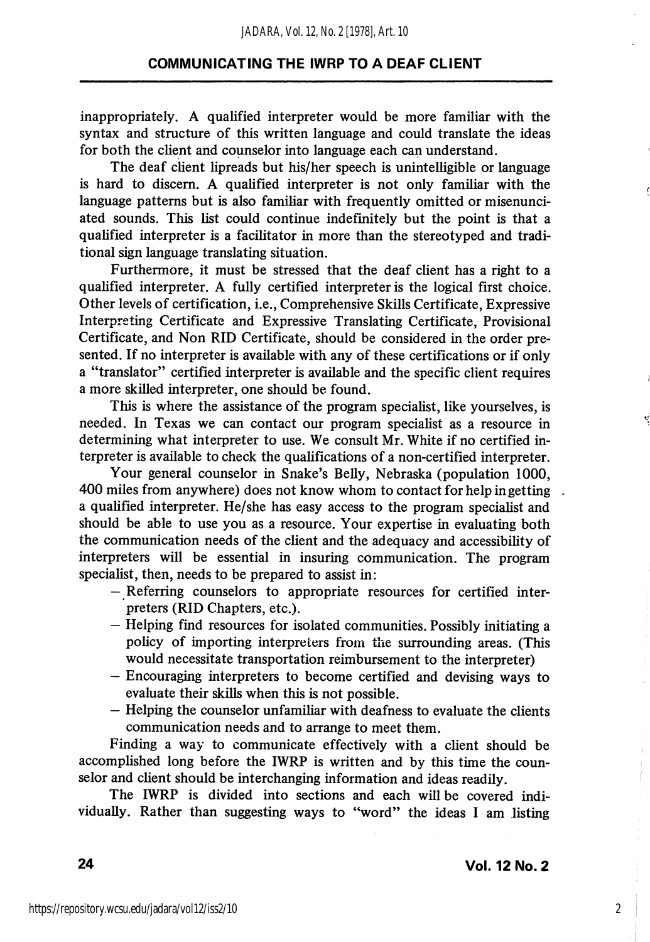inappropriately. A qualified interpreter would be more familiar with the syntax and structure of this written language and could translate the ideas for both the client and counselor into language each can understand.

The deaf client lipreads but his/her speech is unintelligible or language is hard to discern. A qualified interpreter is not only familiar with the language patterns but is also familiar with frequently omitted or misenunciated sounds. This list could continue indefinitely but the point is that a qualified interpreter is a facilitator in more than the stereotyped and tradi tional sign language translating situation.

Furthermore, it must be stressed that the deaf client has a right to a quahfied interpreter. A fully certified interpreter is the logical first choice. Other levels of certification, i.e.. Comprehensive Skills Certificate, Expressive Interpreting Certificate and Expressive Translating Certificate, Provisional Certificate, and Non RID Certificate, should be considered in the order pre sented. If no interpreter is available with any of these certifications or if only a "translator" certified interpreter is available and the specific client requires a more skilled interpreter, one should be found.

This is where the assistance of the program specialist, like yourselves, is needed. In Texas we can contact our program specialist as a resource in determining what interpreter to use. We consult Mr. White if no certified in terpreter is available to check the qualifications of a non-certified interpreter.

Your general counselor in Snake's Belly, Nebraska (population 1000, 400 miles from anywhere) does not know whom to contact for help in getting a qualified interpreter. He/she has easy access to the program specialist and should be able to use you as a resource. Your expertise in evaluating both the communication needs of the client and the adequacy and accessibility of interpreters will be essential in insuring communication. The program specialist, then, needs to be prepared to assist in;

- Referring counselors to appropriate resources for certified inter preters (RID Chapters, etc.).
- Helping find resources for isolated communities. Possibly initiating a policy of importing interpreters from the surrounding areas. (This would necessitate transportation reimbursement to the interpreter)
- Encouraging interpreters to become certified and devising ways to evaluate their skills when this is not possible.
- Helping the counselor unfamiliar with deafness to evaluate the clients communication needs and to arrange to meet them.

Finding a way to communicate effectively with a client should be accomplished long before the IWRP is written and by this time the coun selor and client should be interchanging information and ideas readily.

The IWRP is divided into sections and each will be covered indi vidually. Rather than suggesting ways to "word" the ideas I am listing

2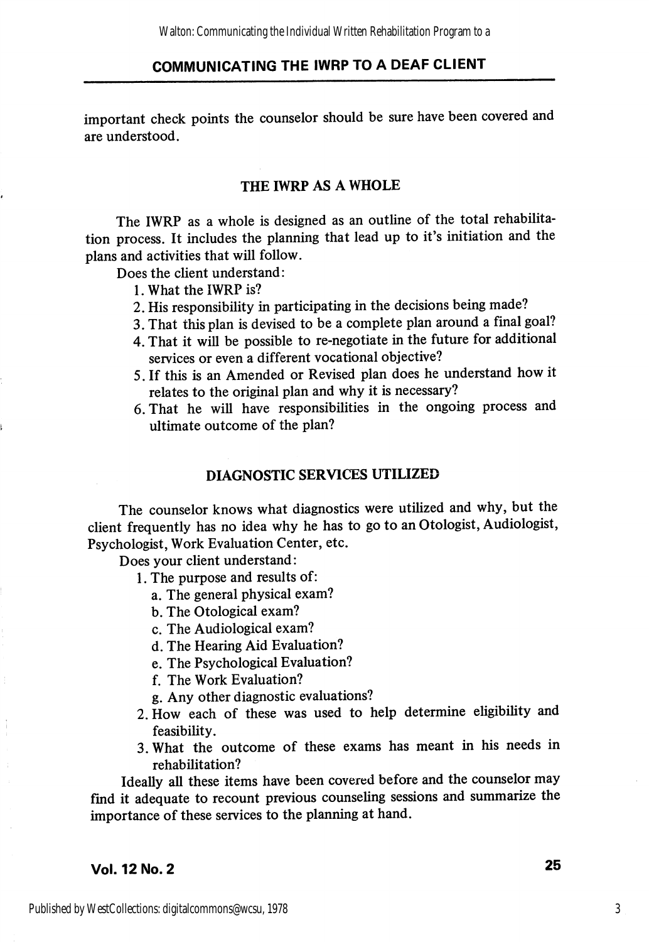important check points the counselor should be sure have been covered and are understood.

### THE IWRP AS A WHOLE

The IWRP as a whole is designed as an outline of the total rehabilita tion process. It includes the planning that lead up to it's initiation and the plans and activities that will follow.

Does the client understand:

- 1. What the IWRP is?
- 2. His responsibility in participating in the decisions being made?
- 3. That this plan is devised to be a complete plan around a final goal?
- 4. That it will be possible to re-negotiate in the future for additional services or even a different vocational objective?
- 5. If this is an Amended or Revised plan does he understand how it relates to the original plan and why it is necessary?
- 6. That he will have responsibilities in the ongoing process and ultimate outcome of the plan?

#### DIAGNOSTIC SERVICES UTILIZED

The counselor knows what diagnostics were utilized and why, but the client frequently has no idea why he has to go to an Otologist, Audiologist, Psychologist, Work Evaluation Center, etc.

Does your client understand:

- 1. The purpose and results of:
	- a. The general physical exam?
	- b. The Otological exam?
	- c. The Audiological exam?
	- d. The Hearing Aid Evaluation?
	- e. The Psychological Evaluation?
	- f. The Work Evaluation?
	- g. Any other diagnostic evaluations?
- 2. How each of these was used to help determine eligibihty and feasibility.
- 3. What the outcome of these exams has meant in his needs in rehabilitation?

Ideally all these items have been covered before and the counselor may find it adequate to recount previous counseling sessions and summarize the importance of these services to the planning at hand.

# Vol. 12 No. 2 25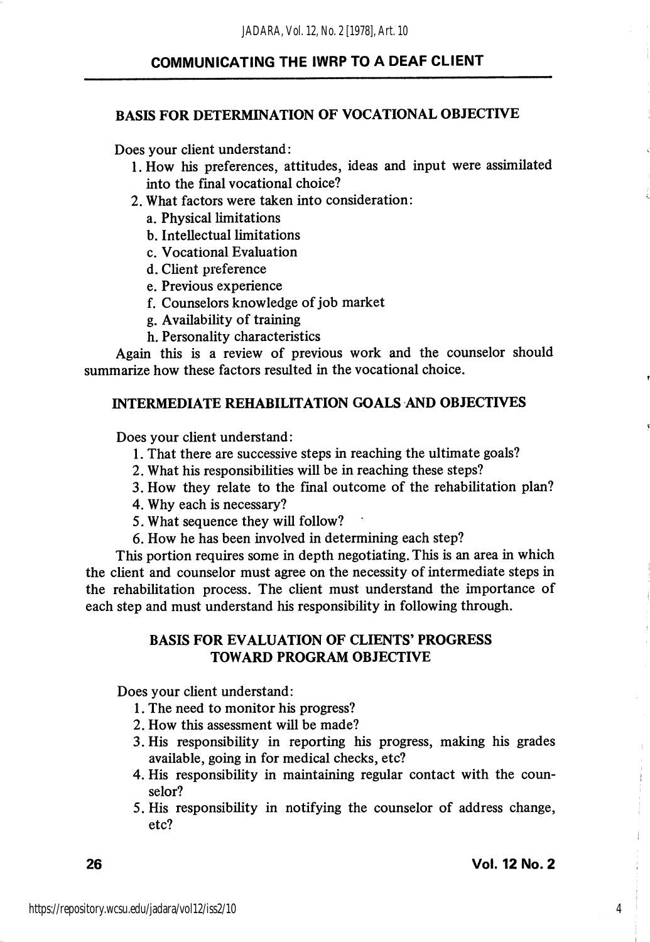#### BASIS FOR DETERMINATION OF VOCATIONAL OBJECTIVE

Does your client understand:

- 1. How his preferences, attitudes, ideas and input were assimilated into the final vocational choice?
- 2. What factors were taken into consideration:
	- a. Physical limitations
	- b. Intellectual limitations
	- c. Vocational Evaluation
	- d. Client preference
	- e. Previous experience
	- f. Counselors knowledge of job market
	- g. Availability of training
	- h. Personality characteristics

Again this is a review of previous work and the counselor should summarize how these factors resulted in the vocational choice.

#### INTERMEDIATE REHABILITATION GOALS AND OBJECTIVES

Does your client understand:

- 1. That there are successive steps in reaching the ultimate goals?
- 2. What his responsibilities will be in reaching these steps?
- 3. How they relate to the final outcome of the rehabilitation plan?
- 4. Why each is necessary?
- 5. What sequence they wiU follow?
- 6. How he has been involved in determining each step?

This portion requires some in depth negotiating. This is an area in which the client and counselor must agree on the necessity of intermediate steps in the rehabilitation process. The client must understand the importance of each step and must understand his responsibility in following through.

### BASIS FOR EVALUATION OF CLIENTS' PROGRESS TOWARD PROGRAM OBJECTIVE

Does your client understand:

- 1. The need to monitor his progress?
- 2. How this assessment will be made?
- 3. His responsibility in reporting his progress, making his grades available, going in for medical checks, etc?
- 4. His responsibility in maintaining regular contact with the coun selor?
- 5. His responsibility in notifying the counselor of address change, etc?

4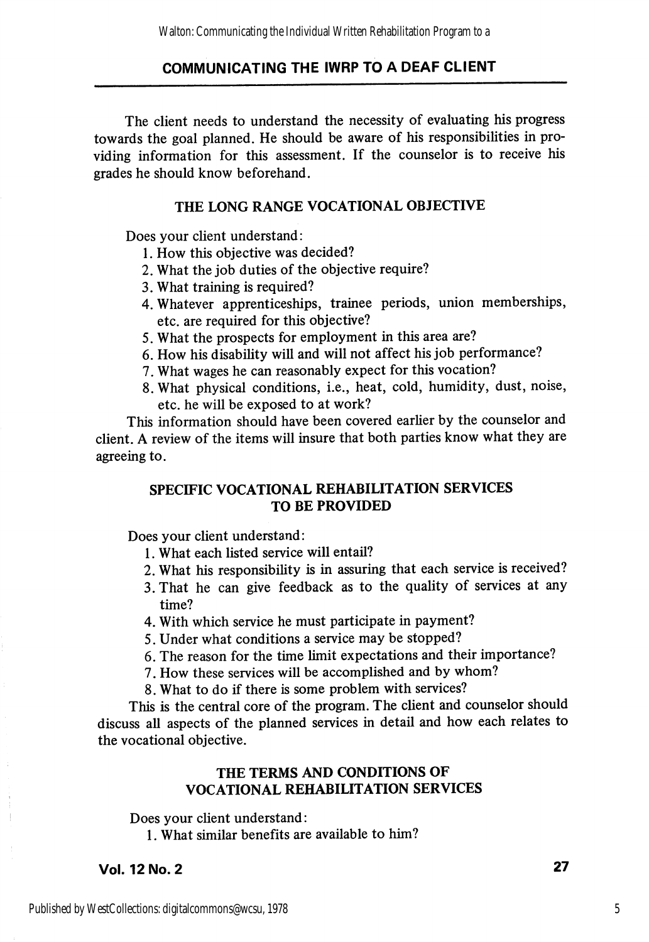The client needs to understand the necessity of evaluating his progress towards the goal planned. He should be aware of his responsibilities in pro viding information for this assessment. If the counselor is to receive his grades he should know beforehand.

#### THE LONG RANGE VOCATIONAL OBJECTIVE

Does your client understand:

- 1. How this objective was decided?
- 2. What the job duties of the objective require?
- 3. What training is required?
- 4. Whatever apprenticeships, trainee periods, union memberships, etc. are required for this objective?
- 5. What the prospects for employment in this area are?
- 6. How his disability will and will not affect his job performance?
- 7. What wages he can reasonably expect for this vocation?
- 8. What physical conditions, i.e., heat, cold, humidity, dust, noise, etc. he will be exposed to at work?

This information should have been covered earlier by the counselor and client. A review of the items will insure that both parties know what they are agreeing to.

# SPECIFIC VOCATIONAL REHABILITATION SERVICES TO BE PROVIDED

Does your client understand:

- 1. What each listed service will entail?
- 2. What his responsibility is in assuring that each service is received?
- 3. That he can give feedback as to the quality of services at any time?
- 4. With which service he must participate in payment?
- 5. Under what conditions a service may be stopped?
- 6. The reason for the time limit expectations and their importance?
- 7. How these services will be accomplished and by whom?
- 8. What to do if there is some problem with services?

This is the central core of the program. The client and counselor should discuss all aspects of the planned services in detail and how each relates to the vocational objective.

#### THE TERMS AND CONDITIONS OF VOCATIONAL REHABILITATION SERVICES

Does your client understand:

1. What similar benefits are available to him?

Vol. 12 No. 2 27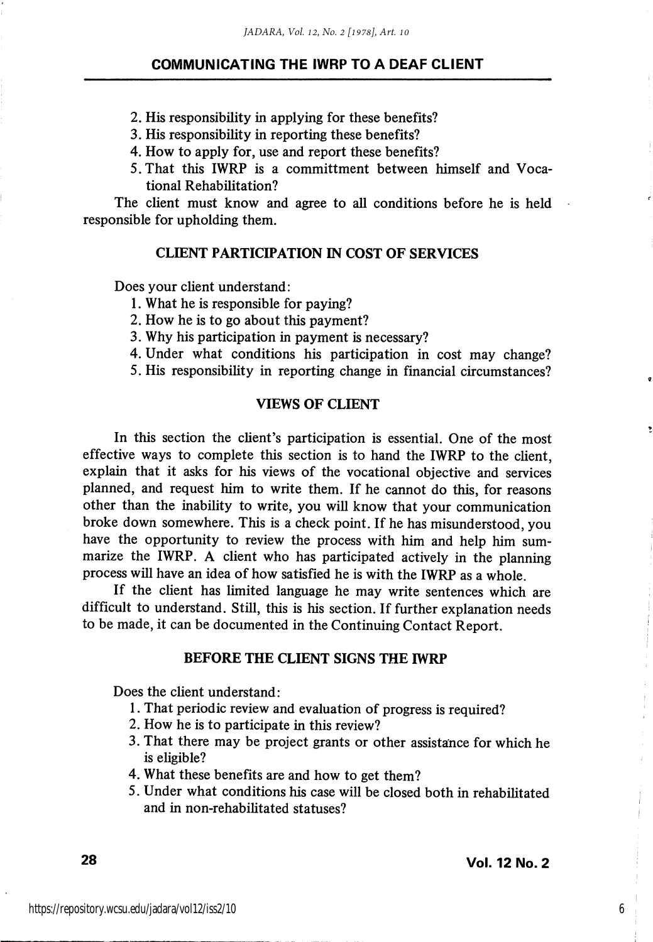2. His responsibility in applying for these benefits?

- 3. His responsibility in reporting these benefits?
- 4. How to apply for, use and report these benefits?
- 5. That this IWRP is a committment between himself and Voca tional Rehabilitation?

The client must know and agree to all conditions before he is held responsible for upholding them.

#### CLIENT PARTICIPATION IN COST OF SERVICES

Does your client understand:

- 1. What he is responsible for paying?
- 2. How he is to go about this payment?
- 3. Why his participation in payment is necessary?
- 4. Under what conditions his participation in cost may change?

5. His responsibility in reporting change in financial circumstances?

#### VIEWS OF CLIENT

In this section the client's participation is essential. One of the most effective ways to complete this section is to hand the IWRP to the client, explain that it asks for his views of the vocational objective and services planned, and request him to write them. If he cannot do this, for reasons other than the inability to write, you wiU know that your communication broke down somewhere. This is a check point. If he has misunderstood, you have the opportunity to review the process with him and help him sum marize the IWRP. A client who has participated actively in the planning process will have an idea of how satisfied he is with the IWRP as a whole.

If the client has limited language he may write sentences which are difficult to understand. Still, this is his section. If further explanation needs to be made, it can be documented in the Continuing Contact Report.

#### BEFORE THE CLIENT SIGNS THE IWRP

Does the client understand:

- 1. That periodic review and evaluation of progress is required?
- 2. How he is to participate in this review?
- 3. That there may be project grants or other assistance for which he is eligible?
- 4. What these benefits are and how to get them?
- 5. Under what conditions his case will be closed both in rehabilitated and in non-rehabilitated statuses?

6

 $\mathbf{g}$